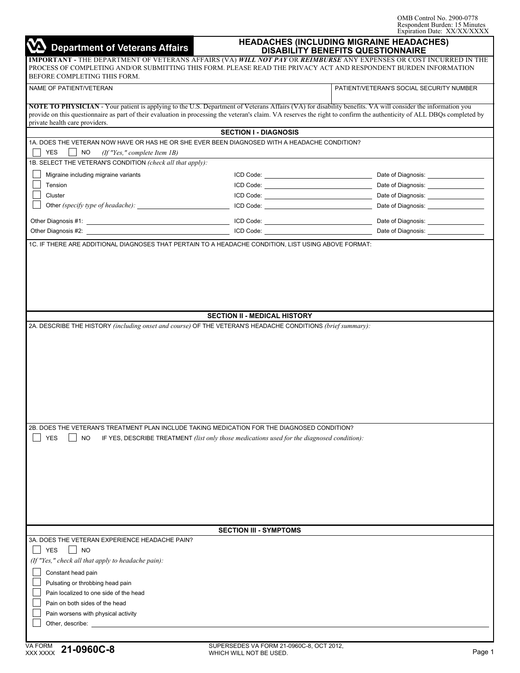OMB Control No. 2900-0778 Respondent Burden: 15 Minutes Expiration Date: XX/XX/XXXX

| <b>Department of Veterans Affairs</b>                                                                                                                                                        | $L$ Aphation Date: $\frac{1}{2}$<br><b>HEADACHES (INCLUDING MIGRAINE HEADACHES)</b><br><b>DISABILITY BENEFITS QUESTIONNAIRE</b> |                                                                                                                                                                                                                                                      |  |  |
|----------------------------------------------------------------------------------------------------------------------------------------------------------------------------------------------|---------------------------------------------------------------------------------------------------------------------------------|------------------------------------------------------------------------------------------------------------------------------------------------------------------------------------------------------------------------------------------------------|--|--|
| BEFORE COMPLETING THIS FORM.                                                                                                                                                                 |                                                                                                                                 | IMPORTANT - THE DEPARTMENT OF VETERANS AFFAIRS (VA) <i>WILL NOT PAY</i> OR <i>REIMBURSE</i> ANY EXPENSES OR COST INCURRED IN THE<br>PROCESS OF COMPLETING AND/OR SUBMITTING THIS FORM. PLEASE READ THE PRIVACY ACT AND RESPONDENT BURDEN INFORMATION |  |  |
| NAME OF PATIENT/VETERAN                                                                                                                                                                      |                                                                                                                                 | PATIENT/VETERAN'S SOCIAL SECURITY NUMBER                                                                                                                                                                                                             |  |  |
| NOTE TO PHYSICIAN - Your patient is applying to the U.S. Department of Veterans Affairs (VA) for disability benefits. VA will consider the information you<br>private health care providers. |                                                                                                                                 | provide on this questionnaire as part of their evaluation in processing the veteran's claim. VA reserves the right to confirm the authenticity of ALL DBQs completed by                                                                              |  |  |
|                                                                                                                                                                                              | <b>SECTION I - DIAGNOSIS</b>                                                                                                    |                                                                                                                                                                                                                                                      |  |  |
| 1A. DOES THE VETERAN NOW HAVE OR HAS HE OR SHE EVER BEEN DIAGNOSED WITH A HEADACHE CONDITION?<br><b>YES</b><br>NO.<br>(If "Yes," complete Item IB)                                           |                                                                                                                                 |                                                                                                                                                                                                                                                      |  |  |
| 1B. SELECT THE VETERAN'S CONDITION (check all that apply):                                                                                                                                   |                                                                                                                                 |                                                                                                                                                                                                                                                      |  |  |
| Migraine including migraine variants                                                                                                                                                         |                                                                                                                                 | Date of Diagnosis: __________________                                                                                                                                                                                                                |  |  |
| Tension                                                                                                                                                                                      |                                                                                                                                 | Date of Diagnosis: __________________                                                                                                                                                                                                                |  |  |
| Cluster                                                                                                                                                                                      |                                                                                                                                 | Date of Diagnosis: __________________                                                                                                                                                                                                                |  |  |
|                                                                                                                                                                                              |                                                                                                                                 | Date of Diagnosis: __________________                                                                                                                                                                                                                |  |  |
|                                                                                                                                                                                              |                                                                                                                                 | Date of Diagnosis: ___________________                                                                                                                                                                                                               |  |  |
|                                                                                                                                                                                              |                                                                                                                                 | Date of Diagnosis: __________________                                                                                                                                                                                                                |  |  |
| 1C. IF THERE ARE ADDITIONAL DIAGNOSES THAT PERTAIN TO A HEADACHE CONDITION, LIST USING ABOVE FORMAT:                                                                                         |                                                                                                                                 |                                                                                                                                                                                                                                                      |  |  |
| 2A. DESCRIBE THE HISTORY (including onset and course) OF THE VETERAN'S HEADACHE CONDITIONS (brief summary):                                                                                  | <b>SECTION II - MEDICAL HISTORY</b>                                                                                             |                                                                                                                                                                                                                                                      |  |  |
|                                                                                                                                                                                              |                                                                                                                                 |                                                                                                                                                                                                                                                      |  |  |
| 2B. DOES THE VETERAN'S TREATMENT PLAN INCLUDE TAKING MEDICATION FOR THE DIAGNOSED CONDITION?                                                                                                 |                                                                                                                                 |                                                                                                                                                                                                                                                      |  |  |
| <b>YES</b><br>NO<br>IF YES, DESCRIBE TREATMENT (list only those medications used for the diagnosed condition):                                                                               |                                                                                                                                 |                                                                                                                                                                                                                                                      |  |  |
|                                                                                                                                                                                              |                                                                                                                                 |                                                                                                                                                                                                                                                      |  |  |
|                                                                                                                                                                                              |                                                                                                                                 |                                                                                                                                                                                                                                                      |  |  |
|                                                                                                                                                                                              |                                                                                                                                 |                                                                                                                                                                                                                                                      |  |  |
|                                                                                                                                                                                              | <b>SECTION III - SYMPTOMS</b>                                                                                                   |                                                                                                                                                                                                                                                      |  |  |
| 3A. DOES THE VETERAN EXPERIENCE HEADACHE PAIN?                                                                                                                                               |                                                                                                                                 |                                                                                                                                                                                                                                                      |  |  |
| <b>YES</b><br><b>NO</b>                                                                                                                                                                      |                                                                                                                                 |                                                                                                                                                                                                                                                      |  |  |
| (If "Yes," check all that apply to headache pain):                                                                                                                                           |                                                                                                                                 |                                                                                                                                                                                                                                                      |  |  |
| Constant head pain                                                                                                                                                                           |                                                                                                                                 |                                                                                                                                                                                                                                                      |  |  |
| Pulsating or throbbing head pain                                                                                                                                                             |                                                                                                                                 |                                                                                                                                                                                                                                                      |  |  |
| Pain localized to one side of the head                                                                                                                                                       |                                                                                                                                 |                                                                                                                                                                                                                                                      |  |  |
| Pain on both sides of the head                                                                                                                                                               |                                                                                                                                 |                                                                                                                                                                                                                                                      |  |  |
| Pain worsens with physical activity                                                                                                                                                          |                                                                                                                                 |                                                                                                                                                                                                                                                      |  |  |
| Other, describe:                                                                                                                                                                             |                                                                                                                                 |                                                                                                                                                                                                                                                      |  |  |
|                                                                                                                                                                                              |                                                                                                                                 |                                                                                                                                                                                                                                                      |  |  |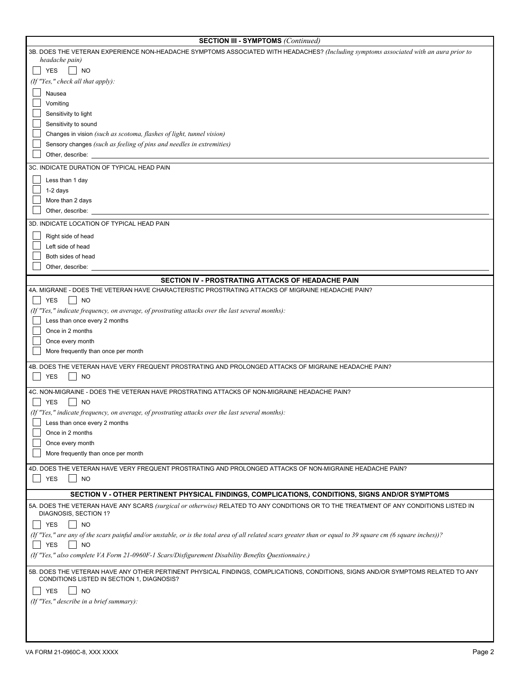| <b>SECTION III - SYMPTOMS (Continued)</b>                                                                                                                                      |  |  |  |  |
|--------------------------------------------------------------------------------------------------------------------------------------------------------------------------------|--|--|--|--|
| 3B. DOES THE VETERAN EXPERIENCE NON-HEADACHE SYMPTOMS ASSOCIATED WITH HEADACHES? (Including symptoms associated with an aura prior to                                          |  |  |  |  |
| headache pain)                                                                                                                                                                 |  |  |  |  |
| <b>YES</b><br><b>NO</b>                                                                                                                                                        |  |  |  |  |
| (If "Yes," check all that apply):                                                                                                                                              |  |  |  |  |
| Nausea                                                                                                                                                                         |  |  |  |  |
| Vomiting                                                                                                                                                                       |  |  |  |  |
| Sensitivity to light                                                                                                                                                           |  |  |  |  |
| Sensitivity to sound                                                                                                                                                           |  |  |  |  |
| Changes in vision (such as scotoma, flashes of light, tunnel vision)                                                                                                           |  |  |  |  |
| Sensory changes (such as feeling of pins and needles in extremities)                                                                                                           |  |  |  |  |
| Other, describe:                                                                                                                                                               |  |  |  |  |
| 3C. INDICATE DURATION OF TYPICAL HEAD PAIN                                                                                                                                     |  |  |  |  |
| Less than 1 day                                                                                                                                                                |  |  |  |  |
| $1-2$ days                                                                                                                                                                     |  |  |  |  |
| More than 2 days                                                                                                                                                               |  |  |  |  |
| Other, describe:                                                                                                                                                               |  |  |  |  |
| 3D. INDICATE LOCATION OF TYPICAL HEAD PAIN                                                                                                                                     |  |  |  |  |
| Right side of head                                                                                                                                                             |  |  |  |  |
| Left side of head                                                                                                                                                              |  |  |  |  |
| Both sides of head                                                                                                                                                             |  |  |  |  |
| Other, describe:                                                                                                                                                               |  |  |  |  |
| SECTION IV - PROSTRATING ATTACKS OF HEADACHE PAIN                                                                                                                              |  |  |  |  |
| 4A. MIGRANE - DOES THE VETERAN HAVE CHARACTERISTIC PROSTRATING ATTACKS OF MIGRAINE HEADACHE PAIN?                                                                              |  |  |  |  |
| <b>YES</b><br><b>NO</b>                                                                                                                                                        |  |  |  |  |
| (If "Yes," indicate frequency, on average, of prostrating attacks over the last several months):                                                                               |  |  |  |  |
| Less than once every 2 months                                                                                                                                                  |  |  |  |  |
| Once in 2 months                                                                                                                                                               |  |  |  |  |
| Once every month                                                                                                                                                               |  |  |  |  |
| More frequently than once per month                                                                                                                                            |  |  |  |  |
| 4B. DOES THE VETERAN HAVE VERY FREQUENT PROSTRATING AND PROLONGED ATTACKS OF MIGRAINE HEADACHE PAIN?                                                                           |  |  |  |  |
| <b>YES</b><br><b>NO</b>                                                                                                                                                        |  |  |  |  |
|                                                                                                                                                                                |  |  |  |  |
| 4C. NON-MIGRAINE - DOES THE VETERAN HAVE PROSTRATING ATTACKS OF NON-MIGRAINE HEADACHE PAIN?                                                                                    |  |  |  |  |
| <b>YES</b><br><b>NO</b>                                                                                                                                                        |  |  |  |  |
| (If "Yes," indicate frequency, on average, of prostrating attacks over the last several months):                                                                               |  |  |  |  |
| Less than once every 2 months                                                                                                                                                  |  |  |  |  |
| Once in 2 months                                                                                                                                                               |  |  |  |  |
| Once every month<br>More frequently than once per month                                                                                                                        |  |  |  |  |
|                                                                                                                                                                                |  |  |  |  |
| 4D. DOES THE VETERAN HAVE VERY FREQUENT PROSTRATING AND PROLONGED ATTACKS OF NON-MIGRAINE HEADACHE PAIN?                                                                       |  |  |  |  |
| <b>YES</b><br><b>NO</b>                                                                                                                                                        |  |  |  |  |
| SECTION V - OTHER PERTINENT PHYSICAL FINDINGS, COMPLICATIONS, CONDITIONS, SIGNS AND/OR SYMPTOMS                                                                                |  |  |  |  |
| 5A. DOES THE VETERAN HAVE ANY SCARS (surgical or otherwise) RELATED TO ANY CONDITIONS OR TO THE TREATMENT OF ANY CONDITIONS LISTED IN                                          |  |  |  |  |
| DIAGNOSIS, SECTION 1?                                                                                                                                                          |  |  |  |  |
| <b>NO</b><br><b>YES</b>                                                                                                                                                        |  |  |  |  |
| (If "Yes," are any of the scars painful and/or unstable, or is the total area of all related scars greater than or equal to 39 square cm (6 square inches))?                   |  |  |  |  |
| <b>YES</b><br><b>NO</b>                                                                                                                                                        |  |  |  |  |
| (If "Yes," also complete VA Form 21-0960F-1 Scars/Disfigurement Disability Benefits Questionnaire.)                                                                            |  |  |  |  |
| 5B. DOES THE VETERAN HAVE ANY OTHER PERTINENT PHYSICAL FINDINGS, COMPLICATIONS, CONDITIONS, SIGNS AND/OR SYMPTOMS RELATED TO ANY<br>CONDITIONS LISTED IN SECTION 1, DIAGNOSIS? |  |  |  |  |
| <b>YES</b><br><b>NO</b>                                                                                                                                                        |  |  |  |  |
| (If "Yes," describe in a brief summary):                                                                                                                                       |  |  |  |  |
|                                                                                                                                                                                |  |  |  |  |
|                                                                                                                                                                                |  |  |  |  |
|                                                                                                                                                                                |  |  |  |  |